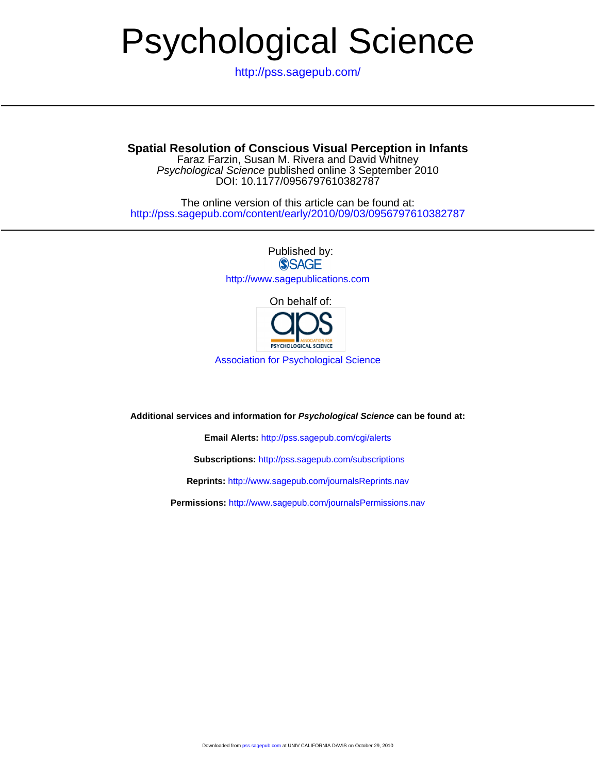# Psychological Science

<http://pss.sagepub.com/>

# **Spatial Resolution of Conscious Visual Perception in Infants**

DOI: 10.1177/0956797610382787 Psychological Science published online 3 September 2010 Faraz Farzin, Susan M. Rivera and David Whitney

<http://pss.sagepub.com/content/early/2010/09/03/0956797610382787> The online version of this article can be found at:

> Published by: **SSAGE** <http://www.sagepublications.com>

> > On behalf of:



[Association for Psychological Science](http://www.psychologicalscience.org/)

**Additional services and information for Psychological Science can be found at:**

**Email Alerts:** <http://pss.sagepub.com/cgi/alerts>

**Subscriptions:** <http://pss.sagepub.com/subscriptions>

**Reprints:** <http://www.sagepub.com/journalsReprints.nav>

**Permissions:** <http://www.sagepub.com/journalsPermissions.nav>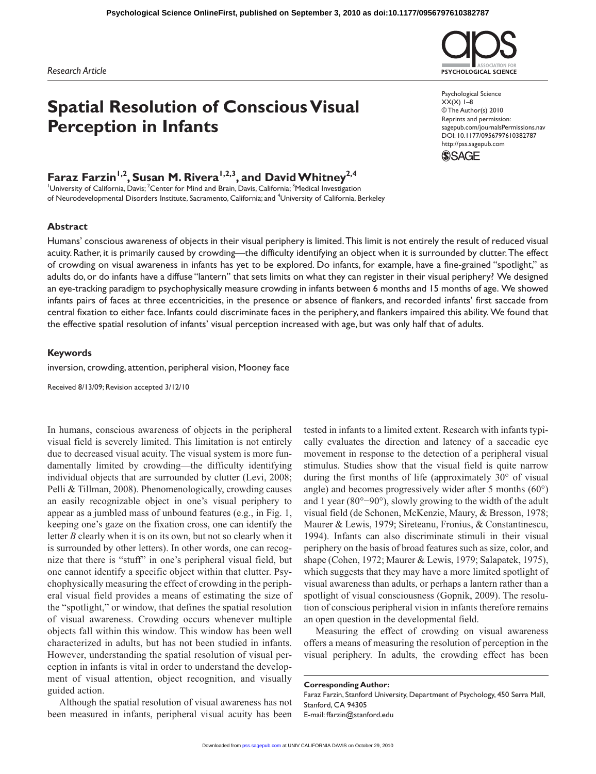# **Spatial Resolution of Conscious Visual Perception in Infants**

# Faraz Farzin<sup>1,2</sup>, Susan M. Rivera<sup>1,2,3</sup>, and David Whitney<sup>2,4</sup>

<sup>1</sup>University of California, Davis; <sup>2</sup>Center for Mind and Brain, Davis, California; <sup>3</sup>Medical Investigation of Neurodevelopmental Disorders Institute, Sacramento, California; and <sup>4</sup>University of California, Berkeley

#### **Abstract**

Psychological Science  $XX(X)$  1–8 © The Author(s) 2010 Reprints and permission: sagepub.com/journalsPermissions.nav DOI: 10.1177/0956797610382787 http://pss.sagepub.com



Humans' conscious awareness of objects in their visual periphery is limited. This limit is not entirely the result of reduced visual acuity. Rather, it is primarily caused by crowding—the difficulty identifying an object when it is surrounded by clutter. The effect of crowding on visual awareness in infants has yet to be explored. Do infants, for example, have a fine-grained "spotlight," as adults do, or do infants have a diffuse "lantern" that sets limits on what they can register in their visual periphery? We designed an eye-tracking paradigm to psychophysically measure crowding in infants between 6 months and 15 months of age. We showed infants pairs of faces at three eccentricities, in the presence or absence of flankers, and recorded infants' first saccade from central fixation to either face. Infants could discriminate faces in the periphery, and flankers impaired this ability. We found that the effective spatial resolution of infants' visual perception increased with age, but was only half that of adults.

#### **Keywords**

inversion, crowding, attention, peripheral vision, Mooney face

Received 8/13/09; Revision accepted 3/12/10

In humans, conscious awareness of objects in the peripheral visual field is severely limited. This limitation is not entirely due to decreased visual acuity. The visual system is more fundamentally limited by crowding—the difficulty identifying individual objects that are surrounded by clutter (Levi, 2008; Pelli & Tillman, 2008). Phenomenologically, crowding causes an easily recognizable object in one's visual periphery to appear as a jumbled mass of unbound features (e.g., in Fig. 1, keeping one's gaze on the fixation cross, one can identify the letter *B* clearly when it is on its own, but not so clearly when it is surrounded by other letters). In other words, one can recognize that there is "stuff" in one's peripheral visual field, but one cannot identify a specific object within that clutter. Psychophysically measuring the effect of crowding in the peripheral visual field provides a means of estimating the size of the "spotlight," or window, that defines the spatial resolution of visual awareness. Crowding occurs whenever multiple objects fall within this window. This window has been well characterized in adults, but has not been studied in infants. However, understanding the spatial resolution of visual perception in infants is vital in order to understand the development of visual attention, object recognition, and visually guided action.

Although the spatial resolution of visual awareness has not been measured in infants, peripheral visual acuity has been

tested in infants to a limited extent. Research with infants typically evaluates the direction and latency of a saccadic eye movement in response to the detection of a peripheral visual stimulus. Studies show that the visual field is quite narrow during the first months of life (approximately 30° of visual angle) and becomes progressively wider after 5 months (60°) and 1 year (80°−90°), slowly growing to the width of the adult visual field (de Schonen, McKenzie, Maury, & Bresson, 1978; Maurer & Lewis, 1979; Sireteanu, Fronius, & Constantinescu, 1994). Infants can also discriminate stimuli in their visual periphery on the basis of broad features such as size, color, and shape (Cohen, 1972; Maurer & Lewis, 1979; Salapatek, 1975), which suggests that they may have a more limited spotlight of visual awareness than adults, or perhaps a lantern rather than a spotlight of visual consciousness (Gopnik, 2009). The resolution of conscious peripheral vision in infants therefore remains an open question in the developmental field.

Measuring the effect of crowding on visual awareness offers a means of measuring the resolution of perception in the visual periphery. In adults, the crowding effect has been

**Corresponding Author:**

Faraz Farzin, Stanford University, Department of Psychology, 450 Serra Mall, Stanford, CA 94305

E-mail: ffarzin@stanford.edu

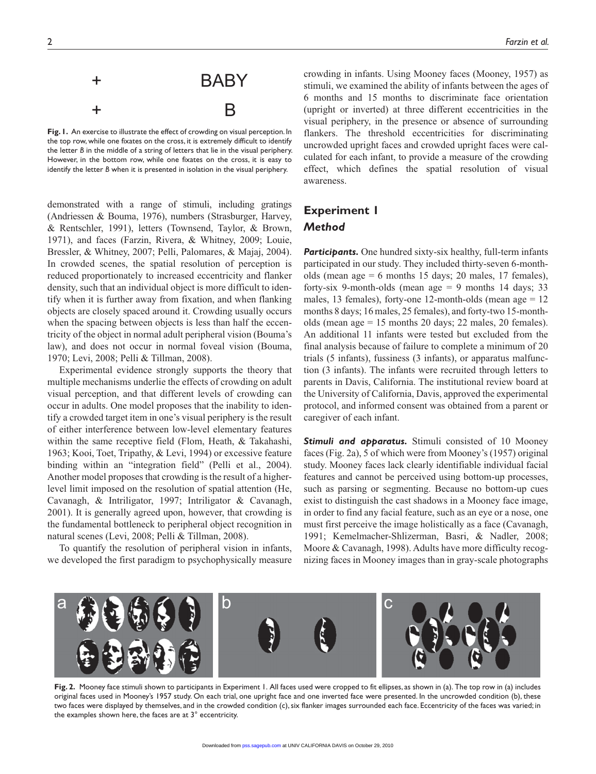

**Fig. 1.** An exercise to illustrate the effect of crowding on visual perception. In the top row, while one fixates on the cross, it is extremely difficult to identify the letter *B* in the middle of a string of letters that lie in the visual periphery. However, in the bottom row, while one fixates on the cross, it is easy to identify the letter *B* when it is presented in isolation in the visual periphery.

demonstrated with a range of stimuli, including gratings (Andriessen & Bouma, 1976), numbers (Strasburger, Harvey, & Rentschler, 1991), letters (Townsend, Taylor, & Brown, 1971), and faces (Farzin, Rivera, & Whitney, 2009; Louie, Bressler, & Whitney, 2007; Pelli, Palomares, & Majaj, 2004). In crowded scenes, the spatial resolution of perception is reduced proportionately to increased eccentricity and flanker density, such that an individual object is more difficult to identify when it is further away from fixation, and when flanking objects are closely spaced around it. Crowding usually occurs when the spacing between objects is less than half the eccentricity of the object in normal adult peripheral vision (Bouma's law), and does not occur in normal foveal vision (Bouma, 1970; Levi, 2008; Pelli & Tillman, 2008).

Experimental evidence strongly supports the theory that multiple mechanisms underlie the effects of crowding on adult visual perception, and that different levels of crowding can occur in adults. One model proposes that the inability to identify a crowded target item in one's visual periphery is the result of either interference between low-level elementary features within the same receptive field (Flom, Heath, & Takahashi, 1963; Kooi, Toet, Tripathy, & Levi, 1994) or excessive feature binding within an "integration field" (Pelli et al., 2004). Another model proposes that crowding is the result of a higherlevel limit imposed on the resolution of spatial attention (He, Cavanagh, & Intriligator, 1997; Intriligator & Cavanagh, 2001). It is generally agreed upon, however, that crowding is the fundamental bottleneck to peripheral object recognition in natural scenes (Levi, 2008; Pelli & Tillman, 2008).

To quantify the resolution of peripheral vision in infants, we developed the first paradigm to psychophysically measure crowding in infants. Using Mooney faces (Mooney, 1957) as stimuli, we examined the ability of infants between the ages of 6 months and 15 months to discriminate face orientation (upright or inverted) at three different eccentricities in the visual periphery, in the presence or absence of surrounding flankers. The threshold eccentricities for discriminating uncrowded upright faces and crowded upright faces were calculated for each infant, to provide a measure of the crowding effect, which defines the spatial resolution of visual awareness.

# **Experiment 1** *Method*

**Participants.** One hundred sixty-six healthy, full-term infants participated in our study. They included thirty-seven 6-montholds (mean age  $= 6$  months 15 days; 20 males, 17 females), forty-six 9-month-olds (mean age  $= 9$  months 14 days; 33 males, 13 females), forty-one 12-month-olds (mean age  $= 12$ ) months 8 days; 16 males, 25 females), and forty-two 15-montholds (mean age = 15 months 20 days; 22 males, 20 females). An additional 11 infants were tested but excluded from the final analysis because of failure to complete a minimum of 20 trials (5 infants), fussiness (3 infants), or apparatus malfunction (3 infants). The infants were recruited through letters to parents in Davis, California. The institutional review board at the University of California, Davis, approved the experimental protocol, and informed consent was obtained from a parent or caregiver of each infant.

**Stimuli and apparatus.** Stimuli consisted of 10 Mooney faces (Fig. 2a), 5 of which were from Mooney's (1957) original study. Mooney faces lack clearly identifiable individual facial features and cannot be perceived using bottom-up processes, such as parsing or segmenting. Because no bottom-up cues exist to distinguish the cast shadows in a Mooney face image, in order to find any facial feature, such as an eye or a nose, one must first perceive the image holistically as a face (Cavanagh, 1991; Kemelmacher-Shlizerman, Basri, & Nadler, 2008; Moore & Cavanagh, 1998). Adults have more difficulty recognizing faces in Mooney images than in gray-scale photographs



**Fig. 2.** Mooney face stimuli shown to participants in Experiment 1. All faces used were cropped to fit ellipses, as shown in (a). The top row in (a) includes original faces used in Mooney's 1957 study. On each trial, one upright face and one inverted face were presented. In the uncrowded condition (b), these two faces were displayed by themselves, and in the crowded condition (c), six flanker images surrounded each face. Eccentricity of the faces was varied; in the examples shown here, the faces are at 3° eccentricity.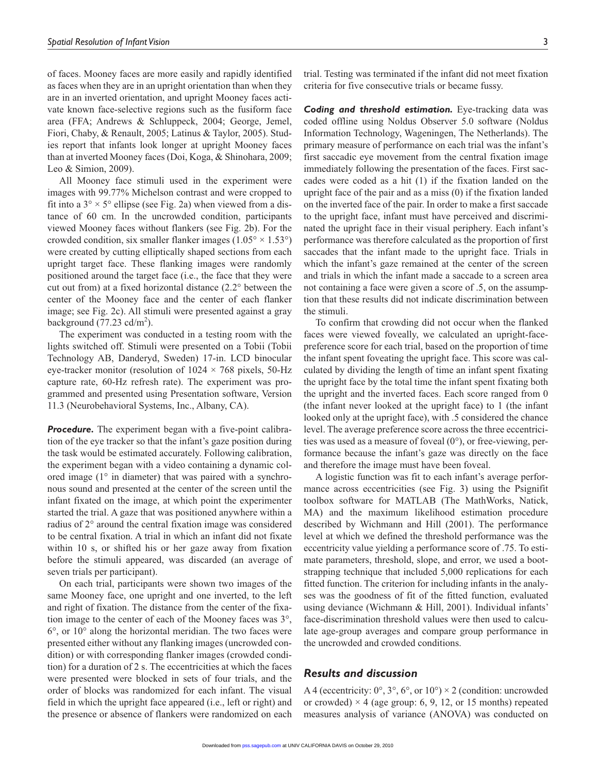of faces. Mooney faces are more easily and rapidly identified as faces when they are in an upright orientation than when they are in an inverted orientation, and upright Mooney faces activate known face-selective regions such as the fusiform face area (FFA; Andrews & Schluppeck, 2004; George, Jemel, Fiori, Chaby, & Renault, 2005; Latinus & Taylor, 2005). Studies report that infants look longer at upright Mooney faces than at inverted Mooney faces (Doi, Koga, & Shinohara, 2009; Leo & Simion, 2009).

All Mooney face stimuli used in the experiment were images with 99.77% Michelson contrast and were cropped to fit into a  $3^{\circ} \times 5^{\circ}$  ellipse (see Fig. 2a) when viewed from a distance of 60 cm. In the uncrowded condition, participants viewed Mooney faces without flankers (see Fig. 2b). For the crowded condition, six smaller flanker images  $(1.05^{\circ} \times 1.53^{\circ})$ were created by cutting elliptically shaped sections from each upright target face. These flanking images were randomly positioned around the target face (i.e., the face that they were cut out from) at a fixed horizontal distance (2.2° between the center of the Mooney face and the center of each flanker image; see Fig. 2c). All stimuli were presented against a gray background  $(77.23 \text{ cd/m}^2)$ .

The experiment was conducted in a testing room with the lights switched off. Stimuli were presented on a Tobii (Tobii Technology AB, Danderyd, Sweden) 17-in. LCD binocular eye-tracker monitor (resolution of  $1024 \times 768$  pixels, 50-Hz capture rate, 60-Hz refresh rate). The experiment was programmed and presented using Presentation software, Version 11.3 (Neurobehavioral Systems, Inc., Albany, CA).

**Procedure.** The experiment began with a five-point calibration of the eye tracker so that the infant's gaze position during the task would be estimated accurately. Following calibration, the experiment began with a video containing a dynamic colored image  $(1^{\circ}$  in diameter) that was paired with a synchronous sound and presented at the center of the screen until the infant fixated on the image, at which point the experimenter started the trial. A gaze that was positioned anywhere within a radius of 2° around the central fixation image was considered to be central fixation. A trial in which an infant did not fixate within 10 s, or shifted his or her gaze away from fixation before the stimuli appeared, was discarded (an average of seven trials per participant).

On each trial, participants were shown two images of the same Mooney face, one upright and one inverted, to the left and right of fixation. The distance from the center of the fixation image to the center of each of the Mooney faces was 3°, 6°, or 10° along the horizontal meridian. The two faces were presented either without any flanking images (uncrowded condition) or with corresponding flanker images (crowded condition) for a duration of 2 s. The eccentricities at which the faces were presented were blocked in sets of four trials, and the order of blocks was randomized for each infant. The visual field in which the upright face appeared (i.e., left or right) and the presence or absence of flankers were randomized on each

trial. Testing was terminated if the infant did not meet fixation criteria for five consecutive trials or became fussy.

*Coding and threshold estimation.* Eye-tracking data was coded offline using Noldus Observer 5.0 software (Noldus Information Technology, Wageningen, The Netherlands). The primary measure of performance on each trial was the infant's first saccadic eye movement from the central fixation image immediately following the presentation of the faces. First saccades were coded as a hit (1) if the fixation landed on the upright face of the pair and as a miss (0) if the fixation landed on the inverted face of the pair. In order to make a first saccade to the upright face, infant must have perceived and discriminated the upright face in their visual periphery. Each infant's performance was therefore calculated as the proportion of first saccades that the infant made to the upright face. Trials in which the infant's gaze remained at the center of the screen and trials in which the infant made a saccade to a screen area not containing a face were given a score of .5, on the assumption that these results did not indicate discrimination between the stimuli.

To confirm that crowding did not occur when the flanked faces were viewed foveally, we calculated an upright-facepreference score for each trial, based on the proportion of time the infant spent foveating the upright face. This score was calculated by dividing the length of time an infant spent fixating the upright face by the total time the infant spent fixating both the upright and the inverted faces. Each score ranged from 0 (the infant never looked at the upright face) to 1 (the infant looked only at the upright face), with .5 considered the chance level. The average preference score across the three eccentricities was used as a measure of foveal (0°), or free-viewing, performance because the infant's gaze was directly on the face and therefore the image must have been foveal.

A logistic function was fit to each infant's average performance across eccentricities (see Fig. 3) using the Psignifit toolbox software for MATLAB (The MathWorks, Natick, MA) and the maximum likelihood estimation procedure described by Wichmann and Hill (2001). The performance level at which we defined the threshold performance was the eccentricity value yielding a performance score of .75. To estimate parameters, threshold, slope, and error, we used a bootstrapping technique that included 5,000 replications for each fitted function. The criterion for including infants in the analyses was the goodness of fit of the fitted function, evaluated using deviance (Wichmann & Hill, 2001). Individual infants' face-discrimination threshold values were then used to calculate age-group averages and compare group performance in the uncrowded and crowded conditions.

#### *Results and discussion*

A 4 (eccentricity:  $0^\circ$ ,  $3^\circ$ ,  $6^\circ$ , or  $10^\circ$ )  $\times$  2 (condition: uncrowded or crowded)  $\times$  4 (age group: 6, 9, 12, or 15 months) repeated measures analysis of variance (ANOVA) was conducted on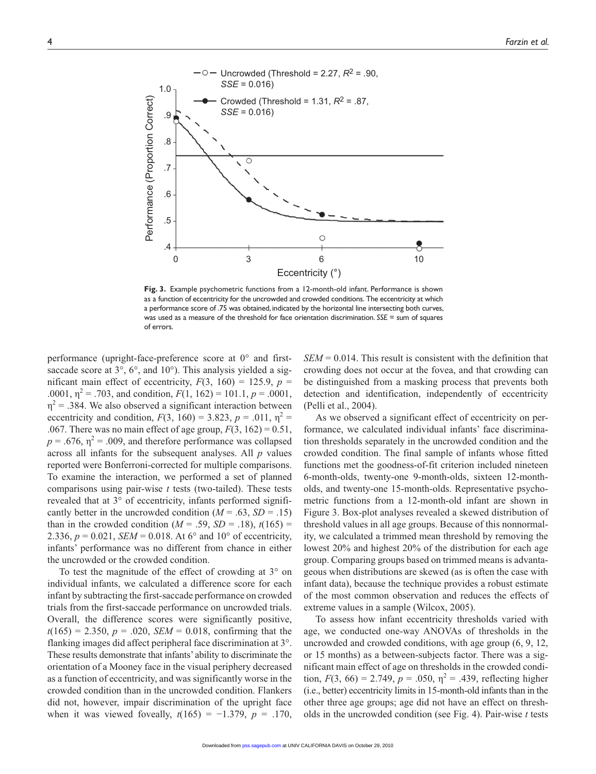

**Fig. 3.** Example psychometric functions from a 12-month-old infant. Performance is shown as a function of eccentricity for the uncrowded and crowded conditions. The eccentricity at which a performance score of .75 was obtained, indicated by the horizontal line intersecting both curves, was used as a measure of the threshold for face orientation discrimination. *SSE* = sum of squares of errors.

performance (upright-face-preference score at 0° and firstsaccade score at 3°, 6°, and 10°). This analysis yielded a significant main effect of eccentricity,  $F(3, 160) = 125.9$ ,  $p =$ .0001,  $\eta^2$  = .703, and condition,  $F(1, 162) = 101.1, p = .0001$ ,  $\eta^2$  = .384. We also observed a significant interaction between eccentricity and condition,  $F(3, 160) = 3.823$ ,  $p = .011$ ,  $\eta^2 =$ .067. There was no main effect of age group,  $F(3, 162) = 0.51$ ,  $p = .676$ ,  $\eta^2 = .009$ , and therefore performance was collapsed across all infants for the subsequent analyses. All *p* values reported were Bonferroni-corrected for multiple comparisons. To examine the interaction, we performed a set of planned comparisons using pair-wise *t* tests (two-tailed). These tests revealed that at 3° of eccentricity, infants performed significantly better in the uncrowded condition  $(M = .63, SD = .15)$ than in the crowded condition  $(M = .59, SD = .18)$ ,  $t(165) =$ 2.336,  $p = 0.021$ , *SEM* = 0.018. At 6<sup>°</sup> and 10<sup>°</sup> of eccentricity, infants' performance was no different from chance in either the uncrowded or the crowded condition.

To test the magnitude of the effect of crowding at  $3^\circ$  on individual infants, we calculated a difference score for each infant by subtracting the first-saccade performance on crowded trials from the first-saccade performance on uncrowded trials. Overall, the difference scores were significantly positive,  $t(165) = 2.350, p = .020, SEM = 0.018, confirming that the$ flanking images did affect peripheral face discrimination at 3°. These results demonstrate that infants' ability to discriminate the orientation of a Mooney face in the visual periphery decreased as a function of eccentricity, and was significantly worse in the crowded condition than in the uncrowded condition. Flankers did not, however, impair discrimination of the upright face when it was viewed foveally,  $t(165) = -1.379$ ,  $p = .170$ , *SEM* = 0.014. This result is consistent with the definition that crowding does not occur at the fovea, and that crowding can be distinguished from a masking process that prevents both detection and identification, independently of eccentricity (Pelli et al., 2004).

As we observed a significant effect of eccentricity on performance, we calculated individual infants' face discrimination thresholds separately in the uncrowded condition and the crowded condition. The final sample of infants whose fitted functions met the goodness-of-fit criterion included nineteen 6-month-olds, twenty-one 9-month-olds, sixteen 12-montholds, and twenty-one 15-month-olds. Representative psychometric functions from a 12-month-old infant are shown in Figure 3. Box-plot analyses revealed a skewed distribution of threshold values in all age groups. Because of this nonnormality, we calculated a trimmed mean threshold by removing the lowest 20% and highest 20% of the distribution for each age group. Comparing groups based on trimmed means is advantageous when distributions are skewed (as is often the case with infant data), because the technique provides a robust estimate of the most common observation and reduces the effects of extreme values in a sample (Wilcox, 2005).

To assess how infant eccentricity thresholds varied with age, we conducted one-way ANOVAs of thresholds in the uncrowded and crowded conditions, with age group (6, 9, 12, or 15 months) as a between-subjects factor. There was a significant main effect of age on thresholds in the crowded condition,  $F(3, 66) = 2.749$ ,  $p = .050$ ,  $\eta^2 = .439$ , reflecting higher (i.e., better) eccentricity limits in 15-month-old infants than in the other three age groups; age did not have an effect on thresholds in the uncrowded condition (see Fig. 4). Pair-wise *t* tests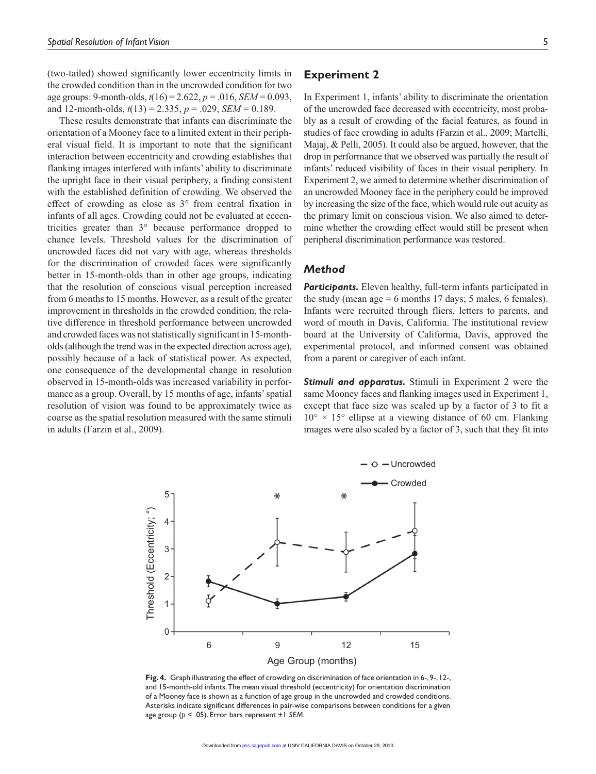(two-tailed) showed significantly lower eccentricity limits in the crowded condition than in the uncrowded condition for two age groups: 9-month-olds, *t*(16) = 2.622, *p* = .016, *SEM* = 0.093, and 12-month-olds, *t*(13) = 2.335, *p* = .029, *SEM* = 0.189.

These results demonstrate that infants can discriminate the orientation of a Mooney face to a limited extent in their peripheral visual field. It is important to note that the significant interaction between eccentricity and crowding establishes that flanking images interfered with infants' ability to discriminate the upright face in their visual periphery, a finding consistent with the established definition of crowding. We observed the effect of crowding as close as 3° from central fixation in infants of all ages. Crowding could not be evaluated at eccentricities greater than 3° because performance dropped to chance levels. Threshold values for the discrimination of uncrowded faces did not vary with age, whereas thresholds for the discrimination of crowded faces were significantly better in 15-month-olds than in other age groups, indicating that the resolution of conscious visual perception increased from 6 months to 15 months. However, as a result of the greater improvement in thresholds in the crowded condition, the relative difference in threshold performance between uncrowded and crowded faces was not statistically significant in 15-montholds (although the trend was in the expected direction across age), possibly because of a lack of statistical power. As expected, one consequence of the developmental change in resolution observed in 15-month-olds was increased variability in performance as a group. Overall, by 15 months of age, infants' spatial resolution of vision was found to be approximately twice as coarse as the spatial resolution measured with the same stimuli in adults (Farzin et al., 2009).

# **Experiment 2**

In Experiment 1, infants' ability to discriminate the orientation of the uncrowded face decreased with eccentricity, most probably as a result of crowding of the facial features, as found in studies of face crowding in adults (Farzin et al., 2009; Martelli, Majaj, & Pelli, 2005). It could also be argued, however, that the drop in performance that we observed was partially the result of infants' reduced visibility of faces in their visual periphery. In Experiment 2, we aimed to determine whether discrimination of an uncrowded Mooney face in the periphery could be improved by increasing the size of the face, which would rule out acuity as the primary limit on conscious vision. We also aimed to determine whether the crowding effect would still be present when peripheral discrimination performance was restored.

# *Method*

**Participants.** Eleven healthy, full-term infants participated in the study (mean  $age = 6$  months 17 days; 5 males, 6 females). Infants were recruited through fliers, letters to parents, and word of mouth in Davis, California. The institutional review board at the University of California, Davis, approved the experimental protocol, and informed consent was obtained from a parent or caregiver of each infant.

**Stimuli and apparatus.** Stimuli in Experiment 2 were the same Mooney faces and flanking images used in Experiment 1, except that face size was scaled up by a factor of 3 to fit a  $10^{\circ} \times 15^{\circ}$  ellipse at a viewing distance of 60 cm. Flanking images were also scaled by a factor of 3, such that they fit into



**Fig. 4.** Graph illustrating the effect of crowding on discrimination of face orientation in 6-, 9-, 12-, and 15-month-old infants. The mean visual threshold (eccentricity) for orientation discrimination of a Mooney face is shown as a function of age group in the uncrowded and crowded conditions. Asterisks indicate significant differences in pair-wise comparisons between conditions for a given age group (*p* < .05). Error bars represent ±1 *SEM*.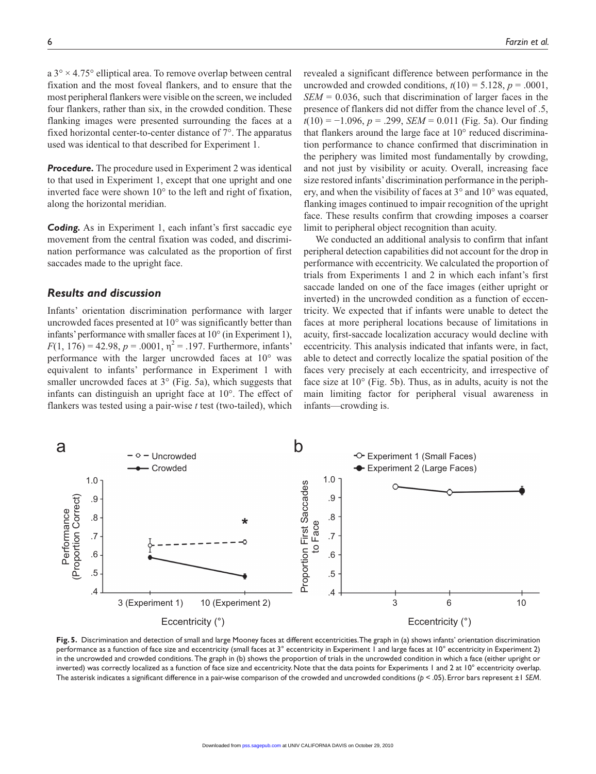a 3° × 4.75° elliptical area. To remove overlap between central fixation and the most foveal flankers, and to ensure that the most peripheral flankers were visible on the screen, we included four flankers, rather than six, in the crowded condition. These flanking images were presented surrounding the faces at a fixed horizontal center-to-center distance of 7°. The apparatus used was identical to that described for Experiment 1.

*Procedure.* The procedure used in Experiment 2 was identical to that used in Experiment 1, except that one upright and one inverted face were shown 10° to the left and right of fixation, along the horizontal meridian.

*Coding.* As in Experiment 1, each infant's first saccadic eye movement from the central fixation was coded, and discrimination performance was calculated as the proportion of first saccades made to the upright face.

## *Results and discussion*

Infants' orientation discrimination performance with larger uncrowded faces presented at 10° was significantly better than infants' performance with smaller faces at 10° (in Experiment 1),  $F(1, 176) = 42.98$ ,  $p = .0001$ ,  $\eta^2 = .197$ . Furthermore, infants' performance with the larger uncrowded faces at 10° was equivalent to infants' performance in Experiment 1 with smaller uncrowded faces at  $3^{\circ}$  (Fig. 5a), which suggests that infants can distinguish an upright face at 10°. The effect of flankers was tested using a pair-wise *t* test (two-tailed), which

revealed a significant difference between performance in the uncrowded and crowded conditions,  $t(10) = 5.128$ ,  $p = .0001$ , *SEM* = 0.036, such that discrimination of larger faces in the presence of flankers did not differ from the chance level of .5, *t*(10) = −1.096, *p* = .299, *SEM* = 0.011 (Fig. 5a). Our finding that flankers around the large face at 10° reduced discrimination performance to chance confirmed that discrimination in the periphery was limited most fundamentally by crowding, and not just by visibility or acuity. Overall, increasing face size restored infants' discrimination performance in the periphery, and when the visibility of faces at 3° and 10° was equated, flanking images continued to impair recognition of the upright face. These results confirm that crowding imposes a coarser limit to peripheral object recognition than acuity.

We conducted an additional analysis to confirm that infant peripheral detection capabilities did not account for the drop in performance with eccentricity. We calculated the proportion of trials from Experiments 1 and 2 in which each infant's first saccade landed on one of the face images (either upright or inverted) in the uncrowded condition as a function of eccentricity. We expected that if infants were unable to detect the faces at more peripheral locations because of limitations in acuity, first-saccade localization accuracy would decline with eccentricity. This analysis indicated that infants were, in fact, able to detect and correctly localize the spatial position of the faces very precisely at each eccentricity, and irrespective of face size at 10° (Fig. 5b). Thus, as in adults, acuity is not the main limiting factor for peripheral visual awareness in infants—crowding is.



**Fig. 5.** Discrimination and detection of small and large Mooney faces at different eccentricities. The graph in (a) shows infants' orientation discrimination performance as a function of face size and eccentricity (small faces at 3° eccentricity in Experiment 1 and large faces at 10° eccentricity in Experiment 2) in the uncrowded and crowded conditions. The graph in (b) shows the proportion of trials in the uncrowded condition in which a face (either upright or inverted) was correctly localized as a function of face size and eccentricity. Note that the data points for Experiments 1 and 2 at 10° eccentricity overlap. The asterisk indicates a significant difference in a pair-wise comparison of the crowded and uncrowded conditions (*p* < .05). Error bars represent ±1 *SEM*.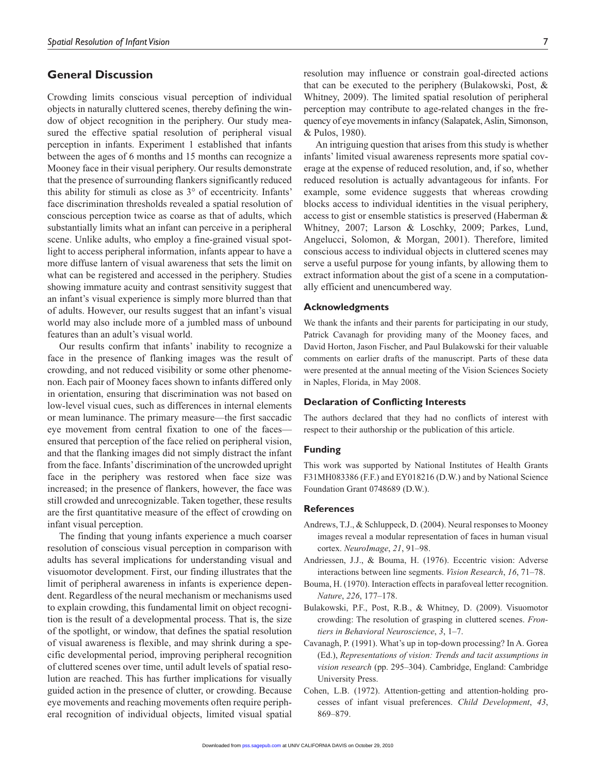# **General Discussion**

Crowding limits conscious visual perception of individual objects in naturally cluttered scenes, thereby defining the window of object recognition in the periphery. Our study measured the effective spatial resolution of peripheral visual perception in infants. Experiment 1 established that infants between the ages of 6 months and 15 months can recognize a Mooney face in their visual periphery. Our results demonstrate that the presence of surrounding flankers significantly reduced this ability for stimuli as close as 3° of eccentricity. Infants' face discrimination thresholds revealed a spatial resolution of conscious perception twice as coarse as that of adults, which substantially limits what an infant can perceive in a peripheral scene. Unlike adults, who employ a fine-grained visual spotlight to access peripheral information, infants appear to have a more diffuse lantern of visual awareness that sets the limit on what can be registered and accessed in the periphery. Studies showing immature acuity and contrast sensitivity suggest that an infant's visual experience is simply more blurred than that of adults. However, our results suggest that an infant's visual world may also include more of a jumbled mass of unbound features than an adult's visual world.

Our results confirm that infants' inability to recognize a face in the presence of flanking images was the result of crowding, and not reduced visibility or some other phenomenon. Each pair of Mooney faces shown to infants differed only in orientation, ensuring that discrimination was not based on low-level visual cues, such as differences in internal elements or mean luminance. The primary measure—the first saccadic eye movement from central fixation to one of the faces ensured that perception of the face relied on peripheral vision, and that the flanking images did not simply distract the infant from the face. Infants' discrimination of the uncrowded upright face in the periphery was restored when face size was increased; in the presence of flankers, however, the face was still crowded and unrecognizable. Taken together, these results are the first quantitative measure of the effect of crowding on infant visual perception.

The finding that young infants experience a much coarser resolution of conscious visual perception in comparison with adults has several implications for understanding visual and visuomotor development. First, our finding illustrates that the limit of peripheral awareness in infants is experience dependent. Regardless of the neural mechanism or mechanisms used to explain crowding, this fundamental limit on object recognition is the result of a developmental process. That is, the size of the spotlight, or window, that defines the spatial resolution of visual awareness is flexible, and may shrink during a specific developmental period, improving peripheral recognition of cluttered scenes over time, until adult levels of spatial resolution are reached. This has further implications for visually guided action in the presence of clutter, or crowding. Because eye movements and reaching movements often require peripheral recognition of individual objects, limited visual spatial

resolution may influence or constrain goal-directed actions that can be executed to the periphery (Bulakowski, Post, & Whitney, 2009). The limited spatial resolution of peripheral perception may contribute to age-related changes in the frequency of eye movements in infancy (Salapatek, Aslin, Simonson, & Pulos, 1980).

An intriguing question that arises from this study is whether infants' limited visual awareness represents more spatial coverage at the expense of reduced resolution, and, if so, whether reduced resolution is actually advantageous for infants. For example, some evidence suggests that whereas crowding blocks access to individual identities in the visual periphery, access to gist or ensemble statistics is preserved (Haberman & Whitney, 2007; Larson & Loschky, 2009; Parkes, Lund, Angelucci, Solomon, & Morgan, 2001). Therefore, limited conscious access to individual objects in cluttered scenes may serve a useful purpose for young infants, by allowing them to extract information about the gist of a scene in a computationally efficient and unencumbered way.

#### **Acknowledgments**

We thank the infants and their parents for participating in our study, Patrick Cavanagh for providing many of the Mooney faces, and David Horton, Jason Fischer, and Paul Bulakowski for their valuable comments on earlier drafts of the manuscript. Parts of these data were presented at the annual meeting of the Vision Sciences Society in Naples, Florida, in May 2008.

#### **Declaration of Conflicting Interests**

The authors declared that they had no conflicts of interest with respect to their authorship or the publication of this article.

#### **Funding**

This work was supported by National Institutes of Health Grants F31MH083386 (F.F.) and EY018216 (D.W.) and by National Science Foundation Grant 0748689 (D.W.).

#### **References**

- Andrews, T.J., & Schluppeck, D. (2004). Neural responses to Mooney images reveal a modular representation of faces in human visual cortex. *NeuroImage*, *21*, 91–98.
- Andriessen, J.J., & Bouma, H. (1976). Eccentric vision: Adverse interactions between line segments. *Vision Research*, *16*, 71–78.
- Bouma, H. (1970). Interaction effects in parafoveal letter recognition. *Nature*, *226*, 177–178.
- Bulakowski, P.F., Post, R.B., & Whitney, D. (2009). Visuomotor crowding: The resolution of grasping in cluttered scenes. *Frontiers in Behavioral Neuroscience*, *3*, 1–7.
- Cavanagh, P. (1991). What's up in top-down processing? In A. Gorea (Ed.), *Representations of vision: Trends and tacit assumptions in vision research* (pp. 295–304). Cambridge, England: Cambridge University Press.
- Cohen, L.B. (1972). Attention-getting and attention-holding processes of infant visual preferences. *Child Development*, *43*, 869–879.